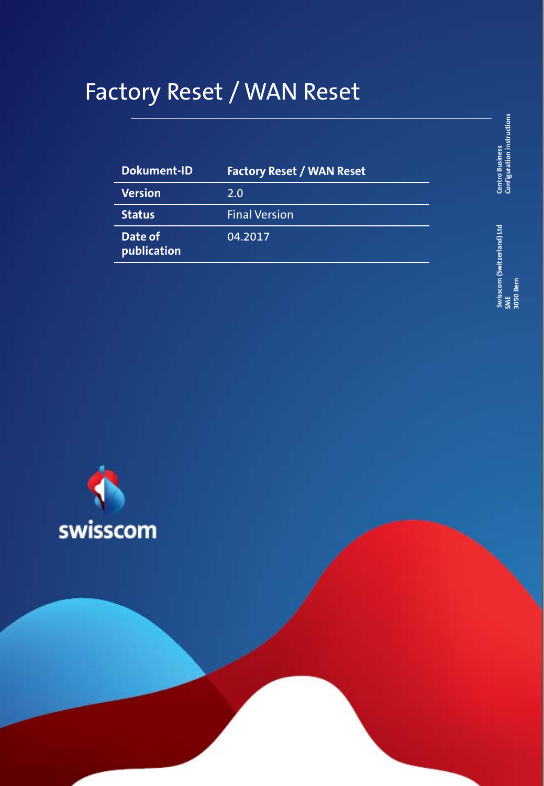# Factory Reset / WAN Reset

| Dokument-ID            | <b>Factory Reset / WAN Reset</b> |
|------------------------|----------------------------------|
| <b>Version</b>         | 2.0                              |
| <b>Status</b>          | <b>Final Version</b>             |
| Date of<br>publication | 04.2017                          |

**Centro Business**<br>Configuration instructions **Configuration instructions Centro Business** 

**Swisscom (Switzerland) Ltd**  Swisscom (Switzerland) Ltd<br>SME<br>| 3050 Bern **3050 Bern**

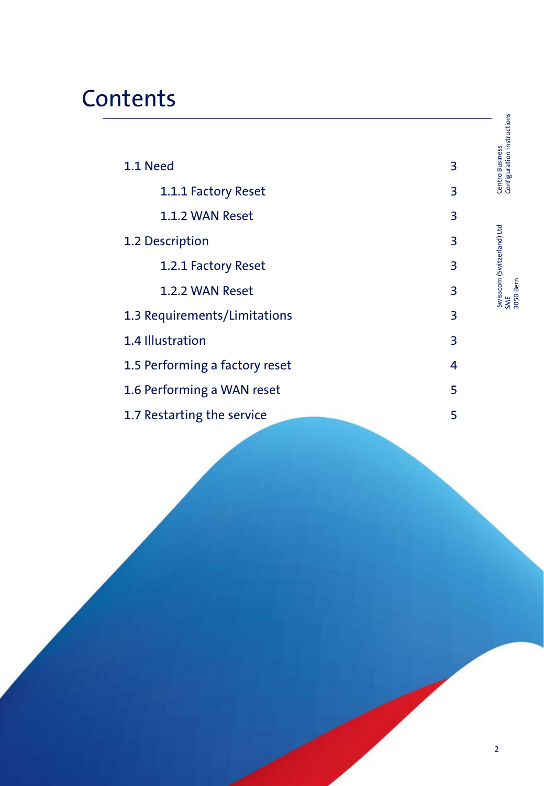# **Contents**

| 1.1 Need                       | 3 | Configuration instructions<br><b>Centro Business</b> |
|--------------------------------|---|------------------------------------------------------|
| 1.1.1 Factory Reset            | 3 |                                                      |
| 1.1.2 WAN Reset                | 3 |                                                      |
| 1.2 Description                | 3 |                                                      |
| 1.2.1 Factory Reset            | 3 |                                                      |
| 1.2.2 WAN Reset                | 3 | Swisscom (Switzerland) Ltd<br>SME<br>3050 Bern       |
| 1.3 Requirements/Limitations   | 3 |                                                      |
| 1.4 Illustration               | 3 |                                                      |
| 1.5 Performing a factory reset | 4 |                                                      |
| 1.6 Performing a WAN reset     | 5 |                                                      |
| 1.7 Restarting the service     | 5 |                                                      |
|                                |   |                                                      |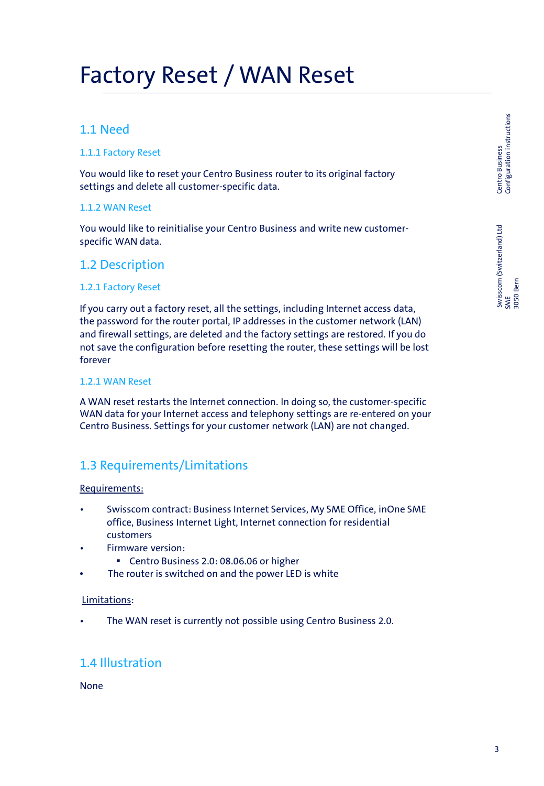## Factory Reset / WAN Reset

### 1.1 Need

### 1.1.1 Factory Reset

You would like to reset your Centro Business router to its original factory settings and delete all customer-specific data.

#### 1.1.2 WAN Reset

You would like to reinitialise your Centro Business and write new customerspecific WAN data.

### 1.2 Description

#### 1.2.1 Factory Reset

If you carry out a factory reset, all the settings, including Internet access data, the password for the router portal, IP addresses in the customer network (LAN) and firewall settings, are deleted and the factory settings are restored. If you do not save the configuration before resetting the router, these settings will be lost forever

#### 1.2.1 WAN Reset

A WAN reset restarts the Internet connection. In doing so, the customer-specific WAN data for your Internet access and telephony settings are re-entered on your Centro Business. Settings for your customer network (LAN) are not changed.

## 1.3 Requirements/Limitations

#### Requirements:

- Swisscom contract: Business Internet Services, My SME Office, inOne SME office, Business Internet Light, Internet connection for residential customers
- Firmware version:
	- Centro Business 2.0: 08.06.06 or higher
- The router is switched on and the power LED is white

#### Limitations:

The WAN reset is currently not possible using Centro Business 2.0.

## 1.4 Illustration

#### None

Centro Business<br>Configuration instructions Configuration instructions Switszen (Switzerland) Ltd Centro Business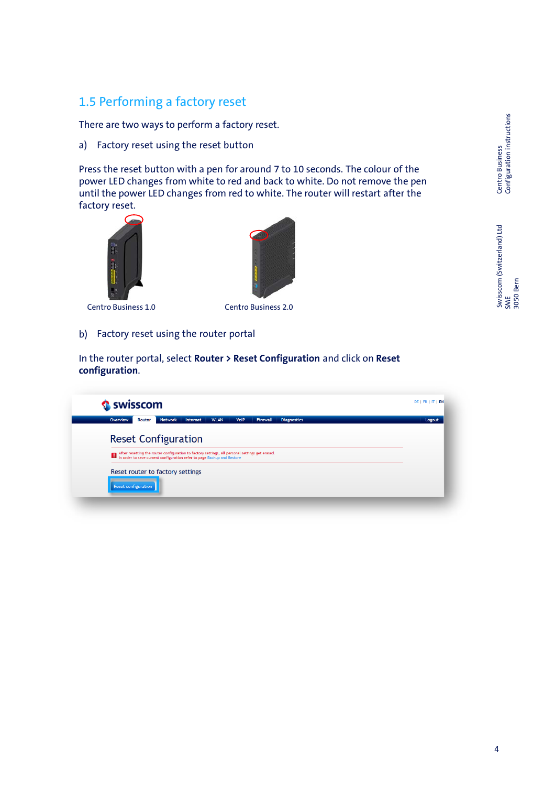## 1.5 Performing a factory reset

There are two ways to perform a factory reset.

a) Factory reset using the reset button

Press the reset button with a pen for around 7 to 10 seconds. The colour of the power LED changes from white to red and back to white. Do not remove the pen until the power LED changes from red to white. The router will restart after the factory reset.





Centro Business 1.0 Centro Business 2.0

b) Factory reset using the router portal

In the router portal, select **Router > Reset Configuration** and click on **Reset configuration**.